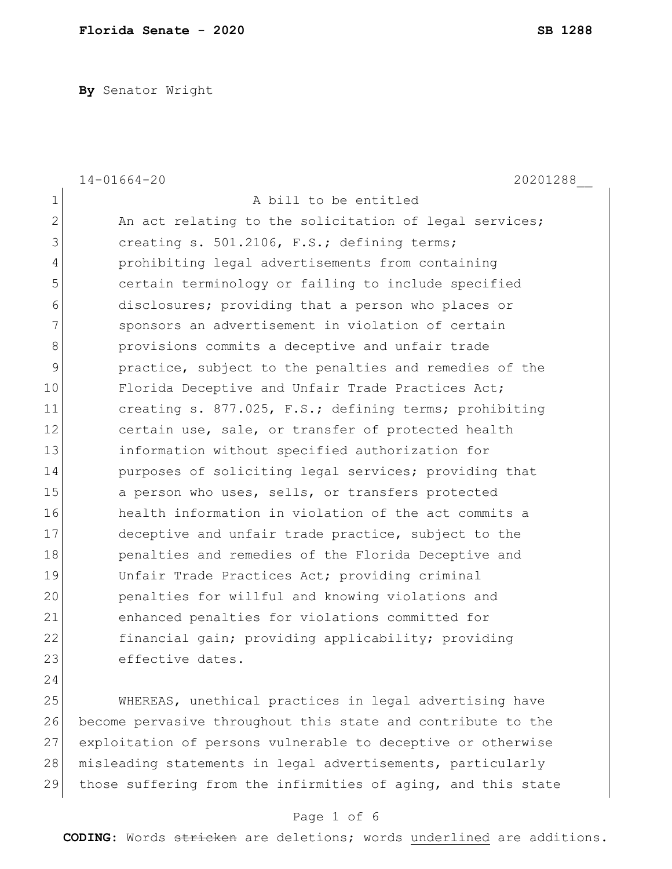**By** Senator Wright

|                | $14 - 01664 - 20$<br>20201288                          |
|----------------|--------------------------------------------------------|
| $\mathbf 1$    | A bill to be entitled                                  |
| $\overline{2}$ | An act relating to the solicitation of legal services; |
| 3              | creating s. 501.2106, F.S.; defining terms;            |
| 4              | prohibiting legal advertisements from containing       |
| 5              | certain terminology or failing to include specified    |
| 6              | disclosures; providing that a person who places or     |
| 7              | sponsors an advertisement in violation of certain      |
| 8              | provisions commits a deceptive and unfair trade        |
| $\mathcal{G}$  | practice, subject to the penalties and remedies of the |
| 10             | Florida Deceptive and Unfair Trade Practices Act;      |
| 11             | creating s. 877.025, F.S.; defining terms; prohibiting |
| 12             | certain use, sale, or transfer of protected health     |
| 13             | information without specified authorization for        |
| 14             | purposes of soliciting legal services; providing that  |
| 15             | a person who uses, sells, or transfers protected       |
| 16             | health information in violation of the act commits a   |
| 17             | deceptive and unfair trade practice, subject to the    |
| 18             | penalties and remedies of the Florida Deceptive and    |
| 19             | Unfair Trade Practices Act; providing criminal         |
| 20             | penalties for willful and knowing violations and       |
| 21             | enhanced penalties for violations committed for        |
| 22             | financial gain; providing applicability; providing     |
| 23             | effective dates.                                       |
| 24             |                                                        |
| 25             | WHEREAS, unethical practices in legal advertising have |

26 become pervasive throughout this state and contribute to the 27 exploitation of persons vulnerable to deceptive or otherwise 28 misleading statements in legal advertisements, particularly 29 those suffering from the infirmities of aging, and this state

## Page 1 of 6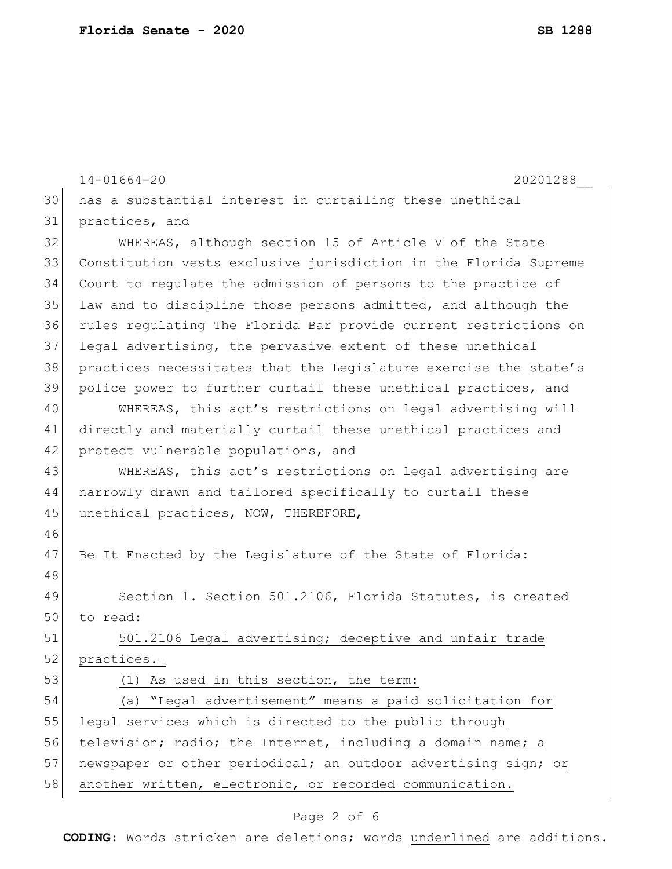|    | $14 - 01664 - 20$<br>20201288                                    |  |  |  |  |  |
|----|------------------------------------------------------------------|--|--|--|--|--|
| 30 | has a substantial interest in curtailing these unethical         |  |  |  |  |  |
| 31 | practices, and                                                   |  |  |  |  |  |
| 32 | WHEREAS, although section 15 of Article V of the State           |  |  |  |  |  |
| 33 | Constitution vests exclusive jurisdiction in the Florida Supreme |  |  |  |  |  |
| 34 | Court to regulate the admission of persons to the practice of    |  |  |  |  |  |
| 35 | law and to discipline those persons admitted, and although the   |  |  |  |  |  |
| 36 | rules regulating The Florida Bar provide current restrictions on |  |  |  |  |  |
| 37 | legal advertising, the pervasive extent of these unethical       |  |  |  |  |  |
| 38 | practices necessitates that the Legislature exercise the state's |  |  |  |  |  |
| 39 | police power to further curtail these unethical practices, and   |  |  |  |  |  |
| 40 | WHEREAS, this act's restrictions on legal advertising will       |  |  |  |  |  |
| 41 | directly and materially curtail these unethical practices and    |  |  |  |  |  |
| 42 | protect vulnerable populations, and                              |  |  |  |  |  |
| 43 | WHEREAS, this act's restrictions on legal advertising are        |  |  |  |  |  |
| 44 | narrowly drawn and tailored specifically to curtail these        |  |  |  |  |  |
| 45 | unethical practices, NOW, THEREFORE,                             |  |  |  |  |  |
| 46 |                                                                  |  |  |  |  |  |
| 47 | Be It Enacted by the Legislature of the State of Florida:        |  |  |  |  |  |
| 48 |                                                                  |  |  |  |  |  |
| 49 | Section 1. Section 501.2106, Florida Statutes, is created        |  |  |  |  |  |
| 50 | to read:                                                         |  |  |  |  |  |
| 51 | 501.2106 Legal advertising; deceptive and unfair trade           |  |  |  |  |  |
| 52 | practices.-                                                      |  |  |  |  |  |
| 53 | (1) As used in this section, the term:                           |  |  |  |  |  |
| 54 | (a) "Legal advertisement" means a paid solicitation for          |  |  |  |  |  |
| 55 | legal services which is directed to the public through           |  |  |  |  |  |
| 56 | television; radio; the Internet, including a domain name; a      |  |  |  |  |  |
| 57 | newspaper or other periodical; an outdoor advertising sign; or   |  |  |  |  |  |
| 58 | another written, electronic, or recorded communication.          |  |  |  |  |  |

# Page 2 of 6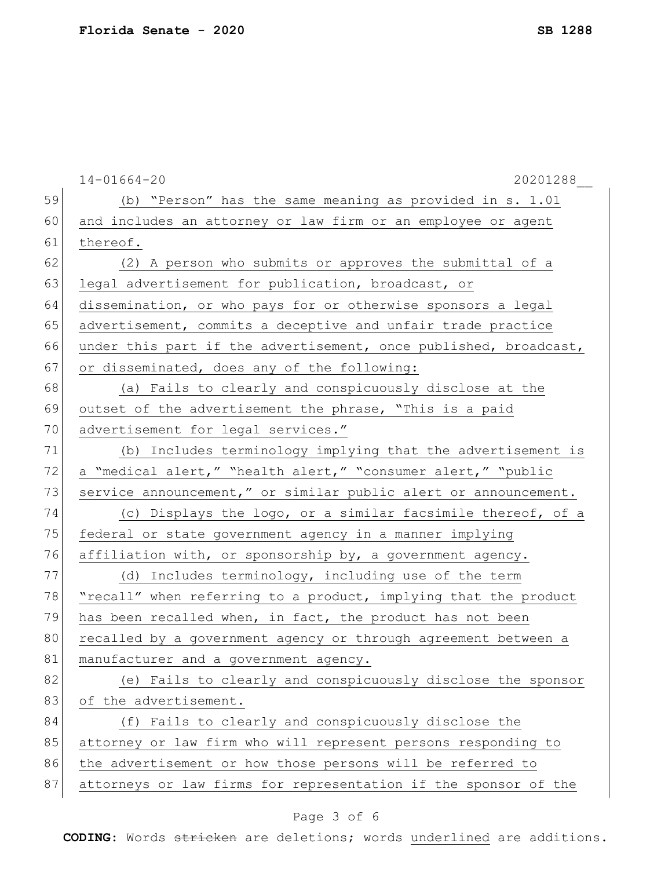|    | $14 - 01664 - 20$<br>20201288                                    |  |  |  |  |  |
|----|------------------------------------------------------------------|--|--|--|--|--|
| 59 | (b) "Person" has the same meaning as provided in s. 1.01         |  |  |  |  |  |
| 60 | and includes an attorney or law firm or an employee or agent     |  |  |  |  |  |
| 61 | thereof.                                                         |  |  |  |  |  |
| 62 | (2) A person who submits or approves the submittal of a          |  |  |  |  |  |
| 63 | legal advertisement for publication, broadcast, or               |  |  |  |  |  |
| 64 | dissemination, or who pays for or otherwise sponsors a legal     |  |  |  |  |  |
| 65 | advertisement, commits a deceptive and unfair trade practice     |  |  |  |  |  |
| 66 | under this part if the advertisement, once published, broadcast, |  |  |  |  |  |
| 67 | or disseminated, does any of the following:                      |  |  |  |  |  |
| 68 | (a) Fails to clearly and conspicuously disclose at the           |  |  |  |  |  |
| 69 | outset of the advertisement the phrase, "This is a paid          |  |  |  |  |  |
| 70 | advertisement for legal services."                               |  |  |  |  |  |
| 71 | (b) Includes terminology implying that the advertisement is      |  |  |  |  |  |
| 72 | a "medical alert," "health alert," "consumer alert," "public     |  |  |  |  |  |
| 73 | service announcement," or similar public alert or announcement.  |  |  |  |  |  |
| 74 | (c) Displays the logo, or a similar facsimile thereof, of a      |  |  |  |  |  |
| 75 | federal or state government agency in a manner implying          |  |  |  |  |  |
| 76 | affiliation with, or sponsorship by, a government agency.        |  |  |  |  |  |
| 77 | (d) Includes terminology, including use of the term              |  |  |  |  |  |
| 78 | "recall" when referring to a product, implying that the product  |  |  |  |  |  |
| 79 | has been recalled when, in fact, the product has not been        |  |  |  |  |  |
| 80 | recalled by a government agency or through agreement between a   |  |  |  |  |  |
| 81 | manufacturer and a government agency.                            |  |  |  |  |  |
| 82 | (e) Fails to clearly and conspicuously disclose the sponsor      |  |  |  |  |  |
| 83 | of the advertisement.                                            |  |  |  |  |  |
| 84 | (f) Fails to clearly and conspicuously disclose the              |  |  |  |  |  |
| 85 | attorney or law firm who will represent persons responding to    |  |  |  |  |  |
| 86 | the advertisement or how those persons will be referred to       |  |  |  |  |  |
| 87 | attorneys or law firms for representation if the sponsor of the  |  |  |  |  |  |
|    |                                                                  |  |  |  |  |  |

# Page 3 of 6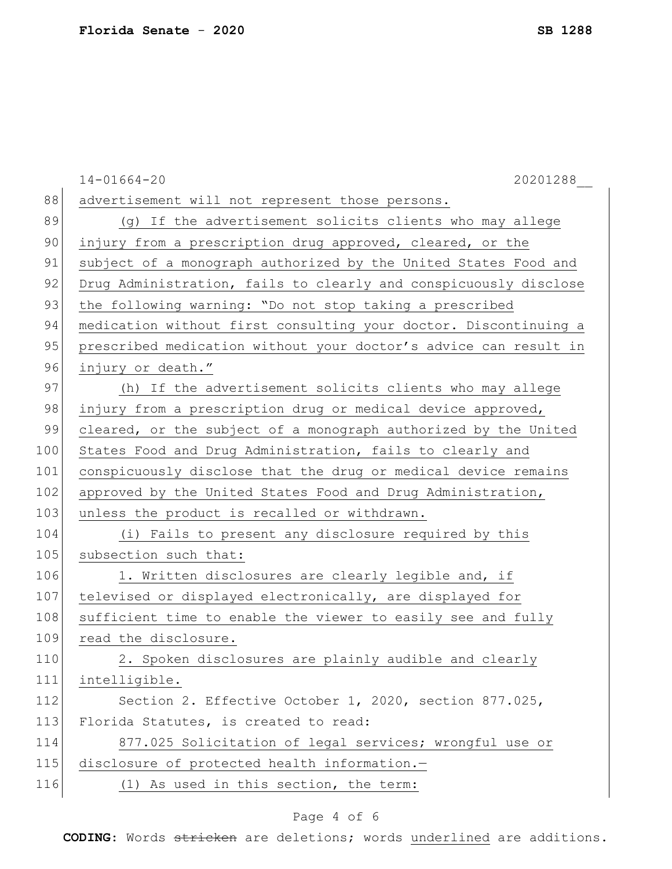|     | 20201288<br>$14 - 01664 - 20$                                    |  |  |  |
|-----|------------------------------------------------------------------|--|--|--|
| 88  | advertisement will not represent those persons.                  |  |  |  |
| 89  | (g) If the advertisement solicits clients who may allege         |  |  |  |
| 90  | injury from a prescription drug approved, cleared, or the        |  |  |  |
| 91  | subject of a monograph authorized by the United States Food and  |  |  |  |
| 92  | Drug Administration, fails to clearly and conspicuously disclose |  |  |  |
| 93  | the following warning: "Do not stop taking a prescribed          |  |  |  |
| 94  | medication without first consulting your doctor. Discontinuing a |  |  |  |
| 95  | prescribed medication without your doctor's advice can result in |  |  |  |
| 96  | injury or death."                                                |  |  |  |
| 97  | (h) If the advertisement solicits clients who may allege         |  |  |  |
| 98  | injury from a prescription drug or medical device approved,      |  |  |  |
| 99  | cleared, or the subject of a monograph authorized by the United  |  |  |  |
| 100 | States Food and Drug Administration, fails to clearly and        |  |  |  |
| 101 | conspicuously disclose that the drug or medical device remains   |  |  |  |
| 102 | approved by the United States Food and Drug Administration,      |  |  |  |
| 103 | unless the product is recalled or withdrawn.                     |  |  |  |
| 104 | (i) Fails to present any disclosure required by this             |  |  |  |
| 105 | subsection such that:                                            |  |  |  |
| 106 | 1. Written disclosures are clearly legible and, if               |  |  |  |
| 107 | televised or displayed electronically, are displayed for         |  |  |  |
| 108 | sufficient time to enable the viewer to easily see and fully     |  |  |  |
| 109 | read the disclosure.                                             |  |  |  |
| 110 | 2. Spoken disclosures are plainly audible and clearly            |  |  |  |
| 111 | intelligible.                                                    |  |  |  |
| 112 | Section 2. Effective October 1, 2020, section 877.025,           |  |  |  |
| 113 | Florida Statutes, is created to read:                            |  |  |  |
| 114 | 877.025 Solicitation of legal services; wrongful use or          |  |  |  |
| 115 | disclosure of protected health information.-                     |  |  |  |
| 116 | (1) As used in this section, the term:                           |  |  |  |
|     |                                                                  |  |  |  |

# Page 4 of 6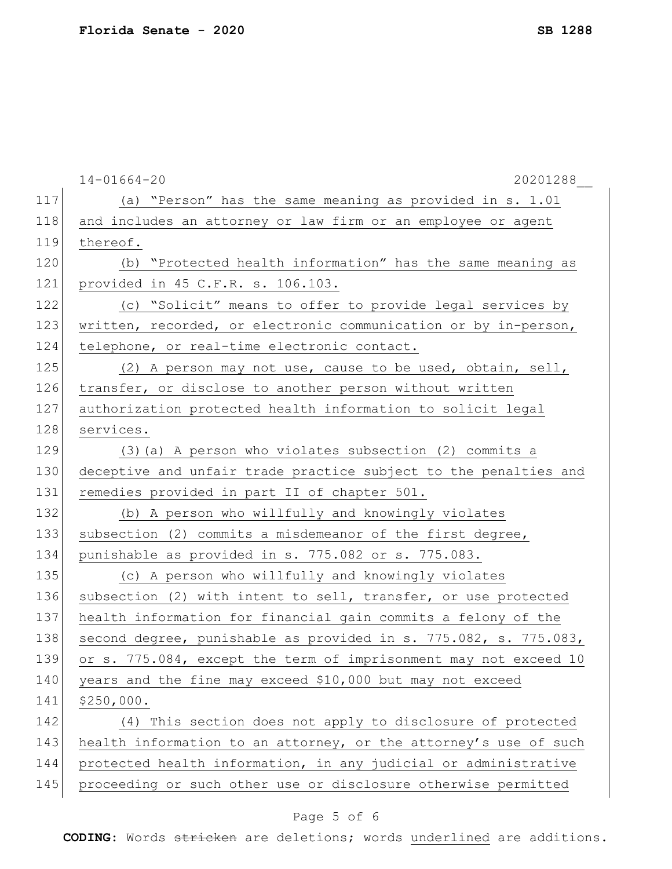|     | $14 - 01664 - 20$<br>20201288                                    |  |  |  |
|-----|------------------------------------------------------------------|--|--|--|
| 117 | (a) "Person" has the same meaning as provided in s. 1.01         |  |  |  |
| 118 | and includes an attorney or law firm or an employee or agent     |  |  |  |
| 119 | thereof.                                                         |  |  |  |
| 120 | (b) "Protected health information" has the same meaning as       |  |  |  |
| 121 | provided in 45 C.F.R. s. 106.103.                                |  |  |  |
| 122 | (c) "Solicit" means to offer to provide legal services by        |  |  |  |
| 123 | written, recorded, or electronic communication or by in-person,  |  |  |  |
| 124 | telephone, or real-time electronic contact.                      |  |  |  |
| 125 | (2) A person may not use, cause to be used, obtain, sell,        |  |  |  |
| 126 | transfer, or disclose to another person without written          |  |  |  |
| 127 | authorization protected health information to solicit legal      |  |  |  |
| 128 | services.                                                        |  |  |  |
| 129 | (3) (a) A person who violates subsection (2) commits a           |  |  |  |
| 130 | deceptive and unfair trade practice subject to the penalties and |  |  |  |
| 131 | remedies provided in part II of chapter 501.                     |  |  |  |
| 132 | (b) A person who willfully and knowingly violates                |  |  |  |
| 133 | subsection (2) commits a misdemeanor of the first degree,        |  |  |  |
| 134 | punishable as provided in s. 775.082 or s. 775.083.              |  |  |  |
| 135 | (c) A person who willfully and knowingly violates                |  |  |  |
| 136 | subsection (2) with intent to sell, transfer, or use protected   |  |  |  |
| 137 | health information for financial gain commits a felony of the    |  |  |  |
| 138 | second degree, punishable as provided in s. 775.082, s. 775.083, |  |  |  |
| 139 | or s. 775.084, except the term of imprisonment may not exceed 10 |  |  |  |
| 140 | years and the fine may exceed \$10,000 but may not exceed        |  |  |  |
| 141 | \$250,000.                                                       |  |  |  |
| 142 | (4) This section does not apply to disclosure of protected       |  |  |  |
| 143 | health information to an attorney, or the attorney's use of such |  |  |  |
| 144 | protected health information, in any judicial or administrative  |  |  |  |
| 145 | proceeding or such other use or disclosure otherwise permitted   |  |  |  |
|     |                                                                  |  |  |  |

# Page 5 of 6